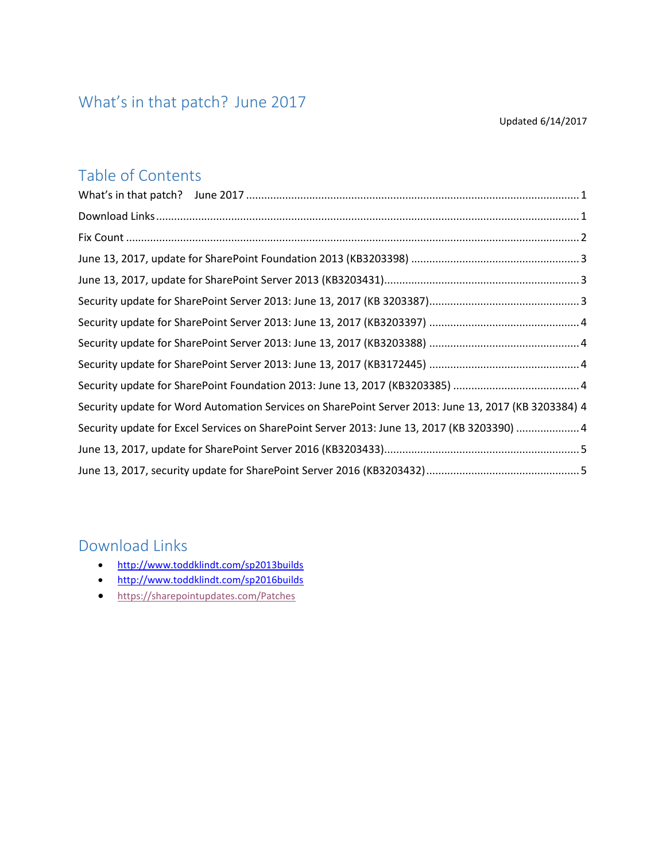## <span id="page-0-0"></span>What's in that patch? June 2017

#### Updated 6/14/2017

#### Table of Contents

| Security update for Word Automation Services on SharePoint Server 2013: June 13, 2017 (KB 3203384) 4 |  |
|------------------------------------------------------------------------------------------------------|--|
| Security update for Excel Services on SharePoint Server 2013: June 13, 2017 (KB 3203390) 4           |  |
|                                                                                                      |  |
|                                                                                                      |  |

### <span id="page-0-1"></span>Download Links

- <http://www.toddklindt.com/sp2013builds>
- <http://www.toddklindt.com/sp2016builds>
- <https://sharepointupdates.com/Patches>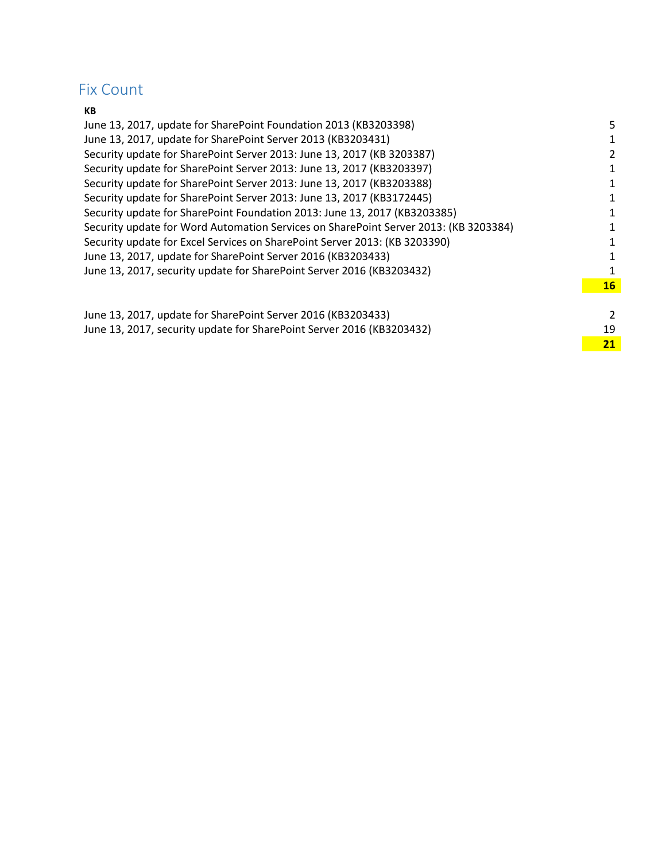### <span id="page-1-0"></span>Fix Count

#### **KB**

| June 13, 2017, update for SharePoint Foundation 2013 (KB3203398)                     | 5         |
|--------------------------------------------------------------------------------------|-----------|
| June 13, 2017, update for SharePoint Server 2013 (KB3203431)                         | 1         |
| Security update for SharePoint Server 2013: June 13, 2017 (KB 3203387)               | 2         |
| Security update for SharePoint Server 2013: June 13, 2017 (KB3203397)                | 1         |
| Security update for SharePoint Server 2013: June 13, 2017 (KB3203388)                | 1         |
| Security update for SharePoint Server 2013: June 13, 2017 (KB3172445)                | 1         |
| Security update for SharePoint Foundation 2013: June 13, 2017 (KB3203385)            | 1         |
| Security update for Word Automation Services on SharePoint Server 2013: (KB 3203384) | 1         |
| Security update for Excel Services on SharePoint Server 2013: (KB 3203390)           | 1         |
| June 13, 2017, update for SharePoint Server 2016 (KB3203433)                         | 1         |
| June 13, 2017, security update for SharePoint Server 2016 (KB3203432)                | 1         |
|                                                                                      | <b>16</b> |
|                                                                                      |           |
|                                                                                      |           |

| June 13, 2017, update for SharePoint Server 2016 (KB3203433)          |  |
|-----------------------------------------------------------------------|--|
| June 13, 2017, security update for SharePoint Server 2016 (KB3203432) |  |
|                                                                       |  |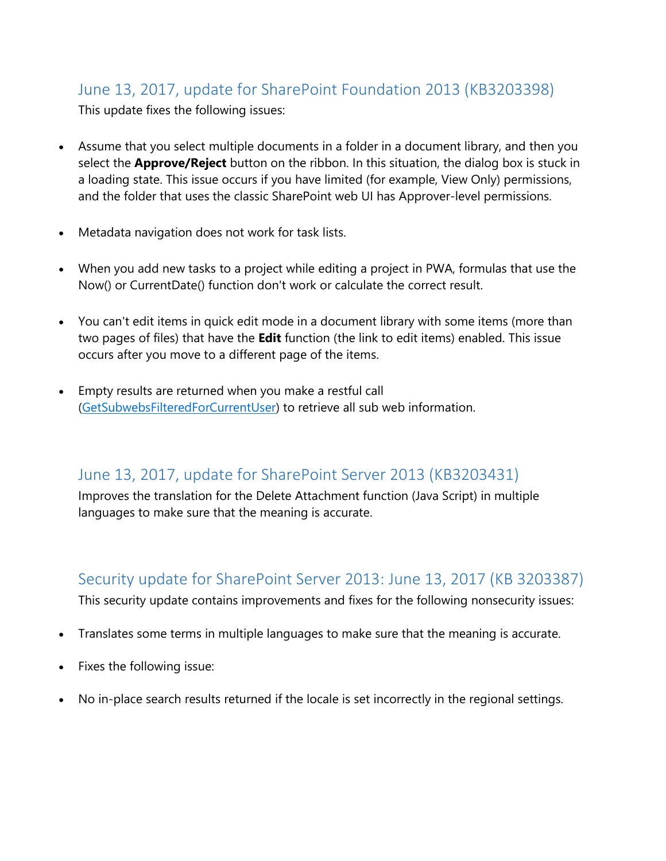### <span id="page-2-0"></span>June 13, 2017, update for SharePoint Foundation 2013 (KB3203398)

This update fixes the following issues:

- Assume that you select multiple documents in a folder in a document library, and then you select the **Approve/Reject** button on the ribbon. In this situation, the dialog box is stuck in a loading state. This issue occurs if you have limited (for example, View Only) permissions, and the folder that uses the classic SharePoint web UI has Approver-level permissions.
- Metadata navigation does not work for task lists.
- When you add new tasks to a project while editing a project in PWA, formulas that use the Now() or CurrentDate() function don't work or calculate the correct result.
- You can't edit items in quick edit mode in a document library with some items (more than two pages of files) that have the **Edit** function (the link to edit items) enabled. This issue occurs after you move to a different page of the items.
- Empty results are returned when you make a restful call [\(GetSubwebsFilteredForCurrentUser\)](https://msdn.microsoft.com/en-us/library/hh630700(v=office.12).aspx) to retrieve all sub web information.

#### <span id="page-2-1"></span>June 13, 2017, update for SharePoint Server 2013 (KB3203431)

Improves the translation for the Delete Attachment function (Java Script) in multiple languages to make sure that the meaning is accurate.

## <span id="page-2-2"></span>Security update for SharePoint Server 2013: June 13, 2017 (KB 3203387)

This security update contains improvements and fixes for the following nonsecurity issues:

- Translates some terms in multiple languages to make sure that the meaning is accurate.
- Fixes the following issue:
- No in-place search results returned if the locale is set incorrectly in the regional settings.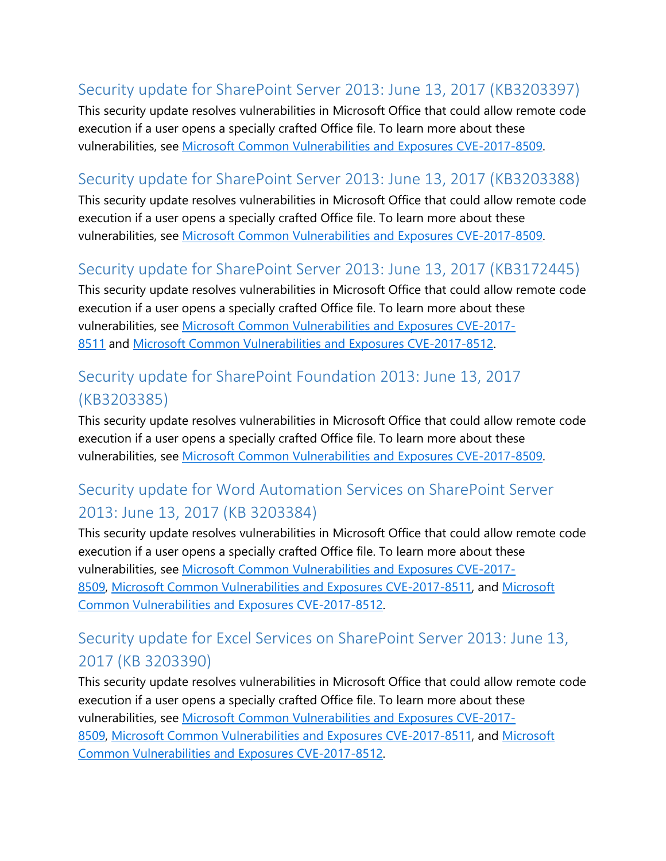## <span id="page-3-0"></span>Security update for SharePoint Server 2013: June 13, 2017 (KB3203397)

This security update resolves vulnerabilities in Microsoft Office that could allow remote code execution if a user opens a specially crafted Office file. To learn more about these vulnerabilities, see [Microsoft Common Vulnerabilities and Exposures CVE-2017-8509.](https://portal.msrc.microsoft.com/en-US/security-guidance/advisory/CVE-2017-8509)

#### <span id="page-3-1"></span>Security update for SharePoint Server 2013: June 13, 2017 (KB3203388)

This security update resolves vulnerabilities in Microsoft Office that could allow remote code execution if a user opens a specially crafted Office file. To learn more about these vulnerabilities, see [Microsoft Common Vulnerabilities and Exposures CVE-2017-8509.](https://portal.msrc.microsoft.com/en-US/security-guidance/advisory/CVE-2017-8509)

### <span id="page-3-2"></span>Security update for SharePoint Server 2013: June 13, 2017 (KB3172445)

This security update resolves vulnerabilities in Microsoft Office that could allow remote code execution if a user opens a specially crafted Office file. To learn more about these vulnerabilities, see [Microsoft Common Vulnerabilities and Exposures CVE-2017-](https://portal.msrc.microsoft.com/en-US/security-guidance/advisory/CVE-2017-8511) [8511](https://portal.msrc.microsoft.com/en-US/security-guidance/advisory/CVE-2017-8511) and [Microsoft Common Vulnerabilities and Exposures CVE-2017-8512.](https://portal.msrc.microsoft.com/en-US/security-guidance/advisory/CVE-2017-8512)

## <span id="page-3-3"></span>Security update for SharePoint Foundation 2013: June 13, 2017 (KB3203385)

This security update resolves vulnerabilities in Microsoft Office that could allow remote code execution if a user opens a specially crafted Office file. To learn more about these vulnerabilities, see [Microsoft Common Vulnerabilities and Exposures CVE-2017-8509.](https://portal.msrc.microsoft.com/en-US/security-guidance/advisory/CVE-2017-8509)

# <span id="page-3-4"></span>Security update for Word Automation Services on SharePoint Server 2013: June 13, 2017 (KB 3203384)

This security update resolves vulnerabilities in Microsoft Office that could allow remote code execution if a user opens a specially crafted Office file. To learn more about these vulnerabilities, see [Microsoft Common Vulnerabilities and Exposures CVE-2017-](https://portal.msrc.microsoft.com/en-US/security-guidance/advisory/CVE-2017-8509) [8509,](https://portal.msrc.microsoft.com/en-US/security-guidance/advisory/CVE-2017-8509) [Microsoft Common Vulnerabilities and Exposures CVE-2017-8511,](https://portal.msrc.microsoft.com/en-US/security-guidance/advisory/CVE-2017-8511) and [Microsoft](https://portal.msrc.microsoft.com/en-US/security-guidance/advisory/CVE-2017-8512)  [Common Vulnerabilities and Exposures CVE-2017-8512.](https://portal.msrc.microsoft.com/en-US/security-guidance/advisory/CVE-2017-8512)

## <span id="page-3-5"></span>Security update for Excel Services on SharePoint Server 2013: June 13, 2017 (KB 3203390)

This security update resolves vulnerabilities in Microsoft Office that could allow remote code execution if a user opens a specially crafted Office file. To learn more about these vulnerabilities, see [Microsoft Common Vulnerabilities and Exposures CVE-2017-](https://portal.msrc.microsoft.com/en-US/security-guidance/advisory/CVE-2017-8509) [8509,](https://portal.msrc.microsoft.com/en-US/security-guidance/advisory/CVE-2017-8509) [Microsoft Common Vulnerabilities and Exposures CVE-2017-8511,](https://portal.msrc.microsoft.com/en-US/security-guidance/advisory/CVE-2017-8511) and [Microsoft](https://portal.msrc.microsoft.com/en-US/security-guidance/advisory/CVE-2017-8512)  [Common Vulnerabilities and Exposures CVE-2017-8512.](https://portal.msrc.microsoft.com/en-US/security-guidance/advisory/CVE-2017-8512)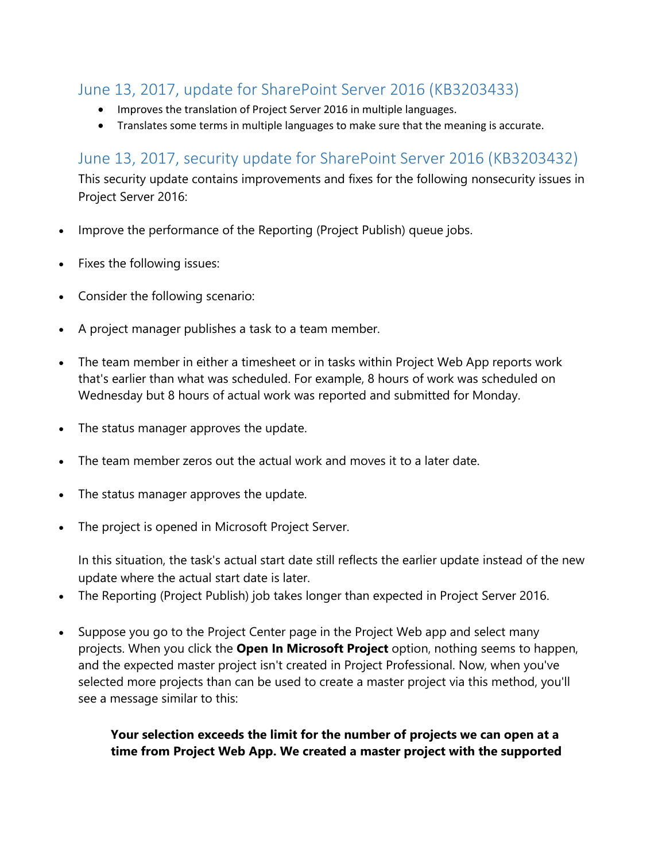#### <span id="page-4-0"></span>June 13, 2017, update for SharePoint Server 2016 (KB3203433)

- Improves the translation of Project Server 2016 in multiple languages.
- Translates some terms in multiple languages to make sure that the meaning is accurate.

#### <span id="page-4-1"></span>June 13, 2017, security update for SharePoint Server 2016 (KB3203432)

This security update contains improvements and fixes for the following nonsecurity issues in Project Server 2016:

- Improve the performance of the Reporting (Project Publish) queue jobs.
- Fixes the following issues:
- Consider the following scenario:
- A project manager publishes a task to a team member.
- The team member in either a timesheet or in tasks within Project Web App reports work that's earlier than what was scheduled. For example, 8 hours of work was scheduled on Wednesday but 8 hours of actual work was reported and submitted for Monday.
- The status manager approves the update.
- The team member zeros out the actual work and moves it to a later date.
- The status manager approves the update.
- The project is opened in Microsoft Project Server.

In this situation, the task's actual start date still reflects the earlier update instead of the new update where the actual start date is later.

- The Reporting (Project Publish) job takes longer than expected in Project Server 2016.
- Suppose you go to the Project Center page in the Project Web app and select many projects. When you click the **Open In Microsoft Project** option, nothing seems to happen, and the expected master project isn't created in Project Professional. Now, when you've selected more projects than can be used to create a master project via this method, you'll see a message similar to this:

#### **Your selection exceeds the limit for the number of projects we can open at a time from Project Web App. We created a master project with the supported**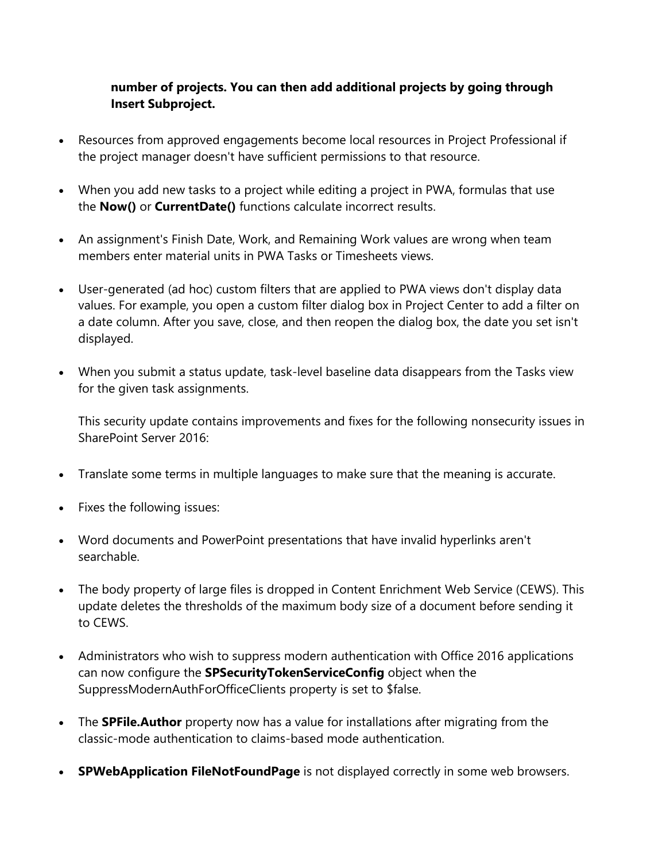#### **number of projects. You can then add additional projects by going through Insert Subproject.**

- Resources from approved engagements become local resources in Project Professional if the project manager doesn't have sufficient permissions to that resource.
- When you add new tasks to a project while editing a project in PWA, formulas that use the **Now()** or **CurrentDate()** functions calculate incorrect results.
- An assignment's Finish Date, Work, and Remaining Work values are wrong when team members enter material units in PWA Tasks or Timesheets views.
- User-generated (ad hoc) custom filters that are applied to PWA views don't display data values. For example, you open a custom filter dialog box in Project Center to add a filter on a date column. After you save, close, and then reopen the dialog box, the date you set isn't displayed.
- When you submit a status update, task-level baseline data disappears from the Tasks view for the given task assignments.

This security update contains improvements and fixes for the following nonsecurity issues in SharePoint Server 2016:

- Translate some terms in multiple languages to make sure that the meaning is accurate.
- Fixes the following issues:
- Word documents and PowerPoint presentations that have invalid hyperlinks aren't searchable.
- The body property of large files is dropped in Content Enrichment Web Service (CEWS). This update deletes the thresholds of the maximum body size of a document before sending it to CEWS.
- Administrators who wish to suppress modern authentication with Office 2016 applications can now configure the **SPSecurityTokenServiceConfig** object when the SuppressModernAuthForOfficeClients property is set to \$false.
- The **SPFile.Author** property now has a value for installations after migrating from the classic-mode authentication to claims-based mode authentication.
- **SPWebApplication FileNotFoundPage** is not displayed correctly in some web browsers.